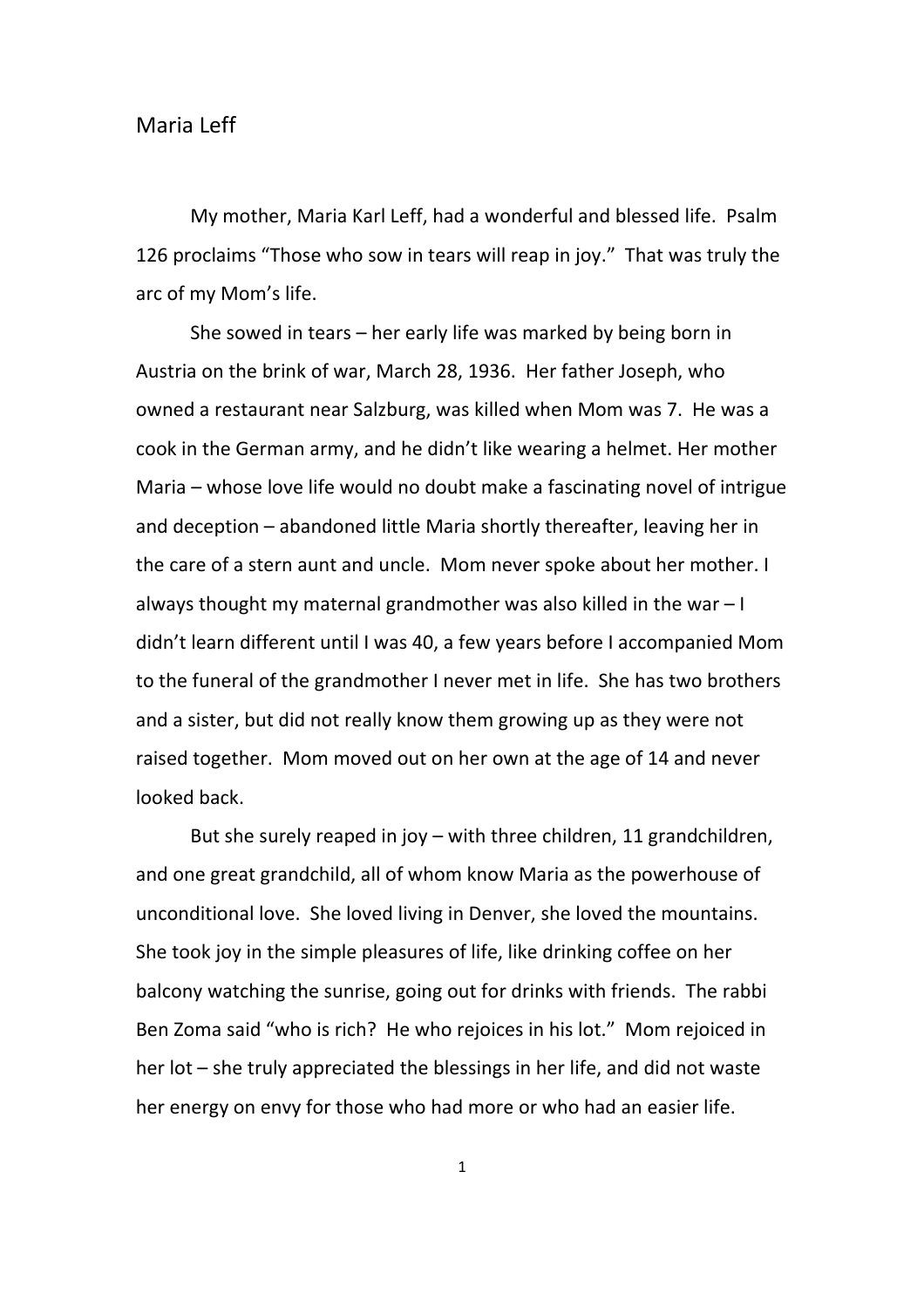My mother, Maria Karl Leff, had a wonderful and blessed life. Psalm 126 proclaims "Those who sow in tears will reap in joy." That was truly the arc of my Mom's life.

She sowed in tears – her early life was marked by being born in Austria on the brink of war, March 28, 1936. Her father Joseph, who owned a restaurant near Salzburg, was killed when Mom was 7. He was a cook in the German army, and he didn't like wearing a helmet. Her mother Maria – whose love life would no doubt make a fascinating novel of intrigue and deception – abandoned little Maria shortly thereafter, leaving her in the care of a stern aunt and uncle. Mom never spoke about her mother. I always thought my maternal grandmother was also killed in the war  $-1$ didn't learn different until I was 40, a few years before I accompanied Mom to the funeral of the grandmother I never met in life. She has two brothers and a sister, but did not really know them growing up as they were not raised together. Mom moved out on her own at the age of 14 and never looked back.

But she surely reaped in joy – with three children, 11 grandchildren, and one great grandchild, all of whom know Maria as the powerhouse of unconditional love. She loved living in Denver, she loved the mountains. She took joy in the simple pleasures of life, like drinking coffee on her balcony watching the sunrise, going out for drinks with friends. The rabbi Ben Zoma said "who is rich? He who rejoices in his lot." Mom rejoiced in her lot – she truly appreciated the blessings in her life, and did not waste her energy on envy for those who had more or who had an easier life.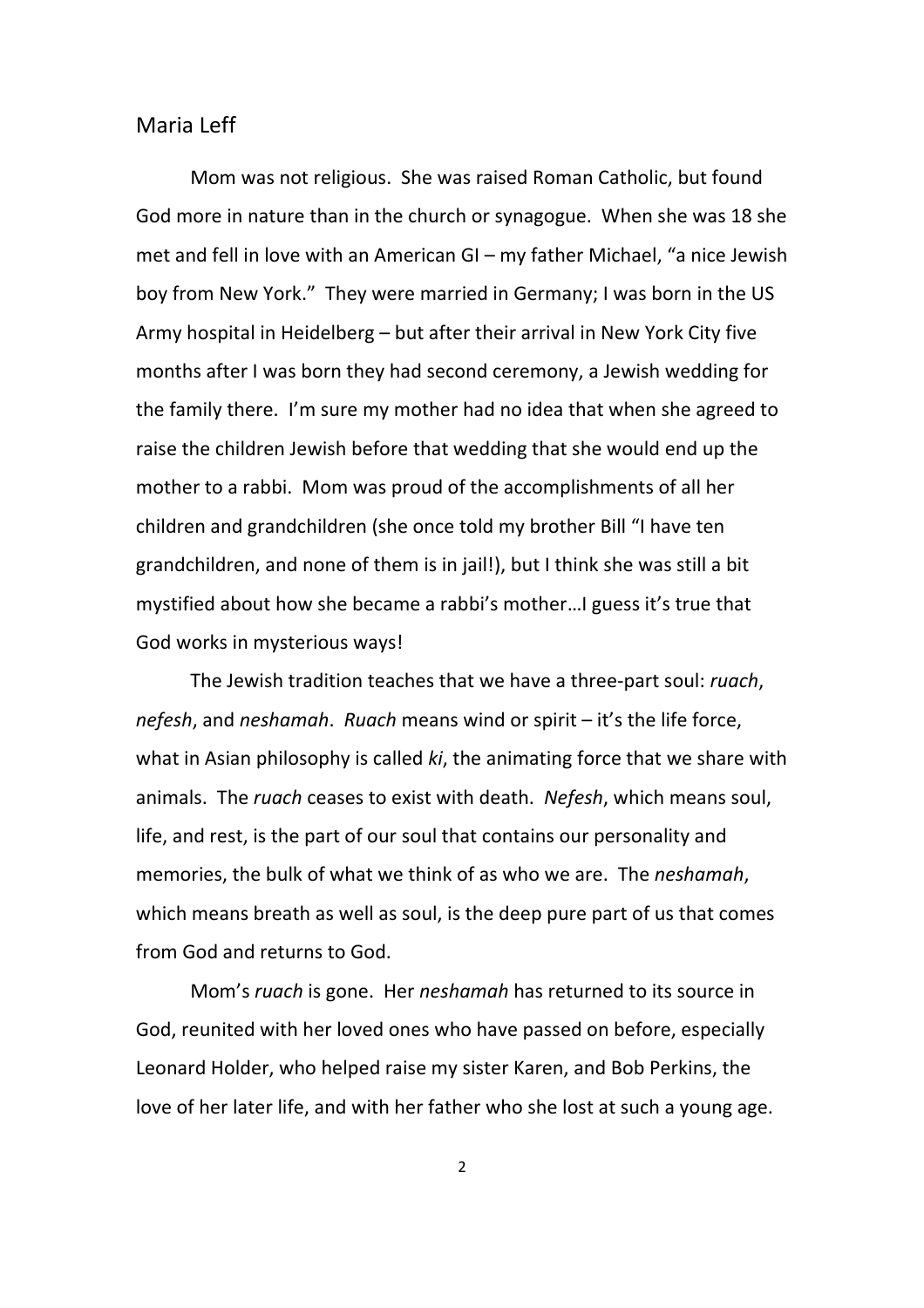Mom was not religious. She was raised Roman Catholic, but found God more in nature than in the church or synagogue. When she was 18 she met and fell in love with an American GI – my father Michael, "a nice Jewish boy from New York." They were married in Germany; I was born in the US Army hospital in Heidelberg – but after their arrival in New York City five months after I was born they had second ceremony, a Jewish wedding for the family there. I'm sure my mother had no idea that when she agreed to raise the children Jewish before that wedding that she would end up the mother to a rabbi. Mom was proud of the accomplishments of all her children and grandchildren (she once told my brother Bill "I have ten grandchildren, and none of them is in jail!), but I think she was still a bit mystified about how she became a rabbi's mother…I guess it's true that God works in mysterious ways!

The Jewish tradition teaches that we have a three-part soul: ruach, nefesh, and neshamah. Ruach means wind or spirit – it's the life force, what in Asian philosophy is called ki, the animating force that we share with animals. The ruach ceases to exist with death. Nefesh, which means soul, life, and rest, is the part of our soul that contains our personality and memories, the bulk of what we think of as who we are. The neshamah, which means breath as well as soul, is the deep pure part of us that comes from God and returns to God.

Mom's ruach is gone. Her neshamah has returned to its source in God, reunited with her loved ones who have passed on before, especially Leonard Holder, who helped raise my sister Karen, and Bob Perkins, the love of her later life, and with her father who she lost at such a young age.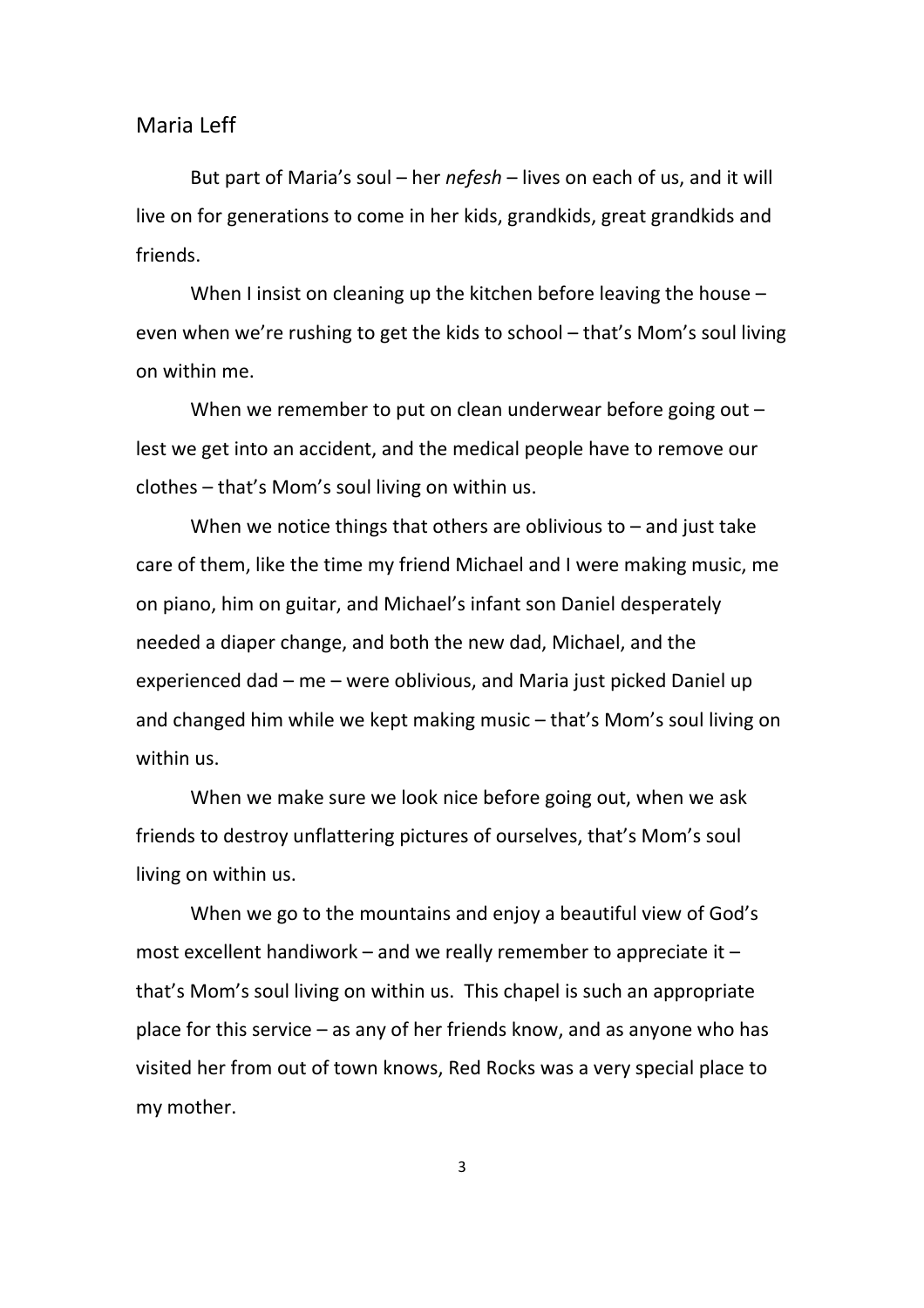But part of Maria's soul – her nefesh – lives on each of us, and it will live on for generations to come in her kids, grandkids, great grandkids and friends.

When I insist on cleaning up the kitchen before leaving the house – even when we're rushing to get the kids to school – that's Mom's soul living on within me.

When we remember to put on clean underwear before going out lest we get into an accident, and the medical people have to remove our clothes – that's Mom's soul living on within us.

When we notice things that others are oblivious to  $-$  and just take care of them, like the time my friend Michael and I were making music, me on piano, him on guitar, and Michael's infant son Daniel desperately needed a diaper change, and both the new dad, Michael, and the experienced dad – me – were oblivious, and Maria just picked Daniel up and changed him while we kept making music – that's Mom's soul living on within us.

When we make sure we look nice before going out, when we ask friends to destroy unflattering pictures of ourselves, that's Mom's soul living on within us.

When we go to the mountains and enjoy a beautiful view of God's most excellent handiwork – and we really remember to appreciate it – that's Mom's soul living on within us. This chapel is such an appropriate place for this service – as any of her friends know, and as anyone who has visited her from out of town knows, Red Rocks was a very special place to my mother.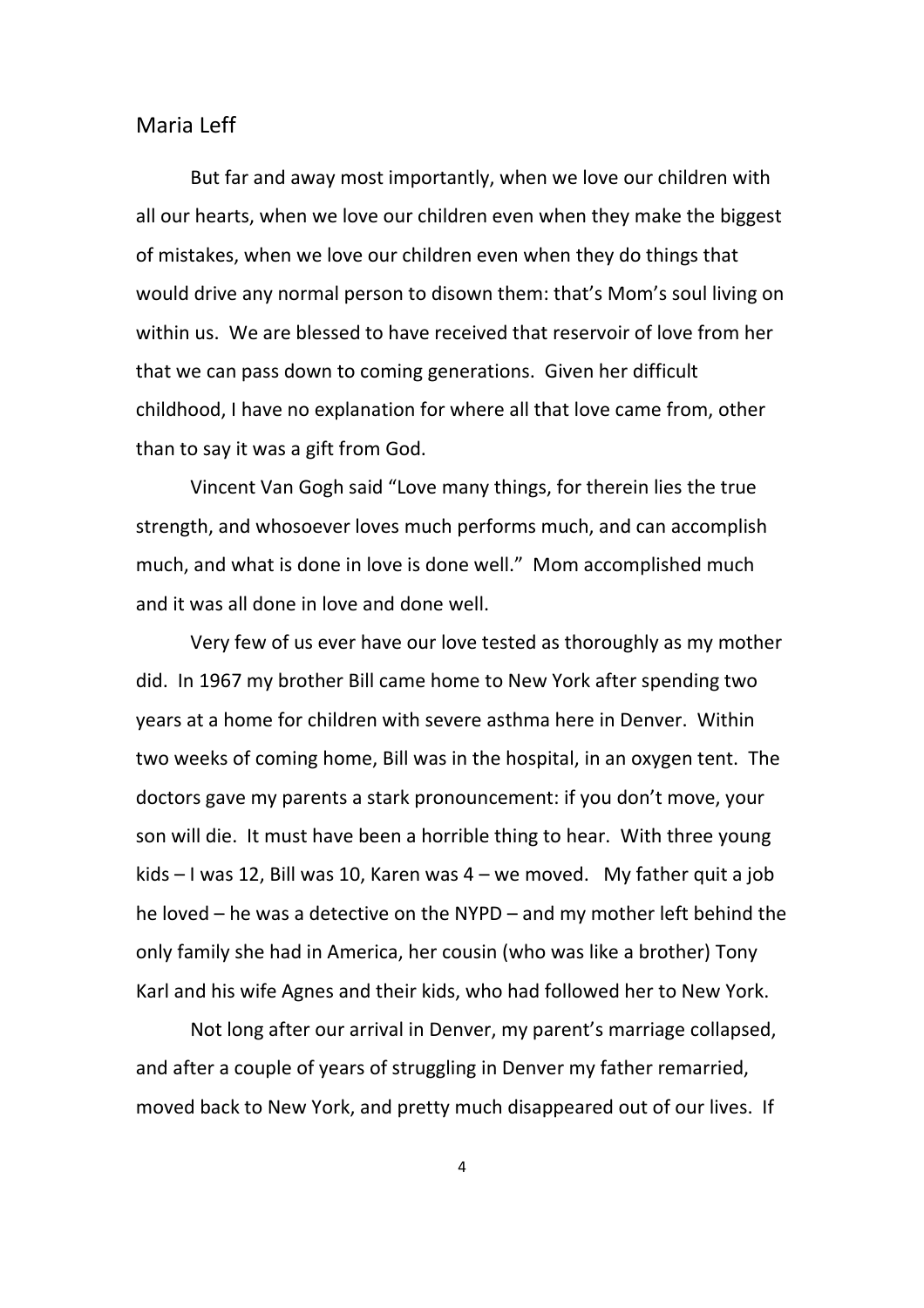But far and away most importantly, when we love our children with all our hearts, when we love our children even when they make the biggest of mistakes, when we love our children even when they do things that would drive any normal person to disown them: that's Mom's soul living on within us. We are blessed to have received that reservoir of love from her that we can pass down to coming generations. Given her difficult childhood, I have no explanation for where all that love came from, other than to say it was a gift from God.

Vincent Van Gogh said "Love many things, for therein lies the true strength, and whosoever loves much performs much, and can accomplish much, and what is done in love is done well." Mom accomplished much and it was all done in love and done well.

Very few of us ever have our love tested as thoroughly as my mother did. In 1967 my brother Bill came home to New York after spending two years at a home for children with severe asthma here in Denver. Within two weeks of coming home, Bill was in the hospital, in an oxygen tent. The doctors gave my parents a stark pronouncement: if you don't move, your son will die. It must have been a horrible thing to hear. With three young kids – I was 12, Bill was 10, Karen was 4 – we moved. My father quit a job he loved – he was a detective on the NYPD – and my mother left behind the only family she had in America, her cousin (who was like a brother) Tony Karl and his wife Agnes and their kids, who had followed her to New York.

Not long after our arrival in Denver, my parent's marriage collapsed, and after a couple of years of struggling in Denver my father remarried, moved back to New York, and pretty much disappeared out of our lives. If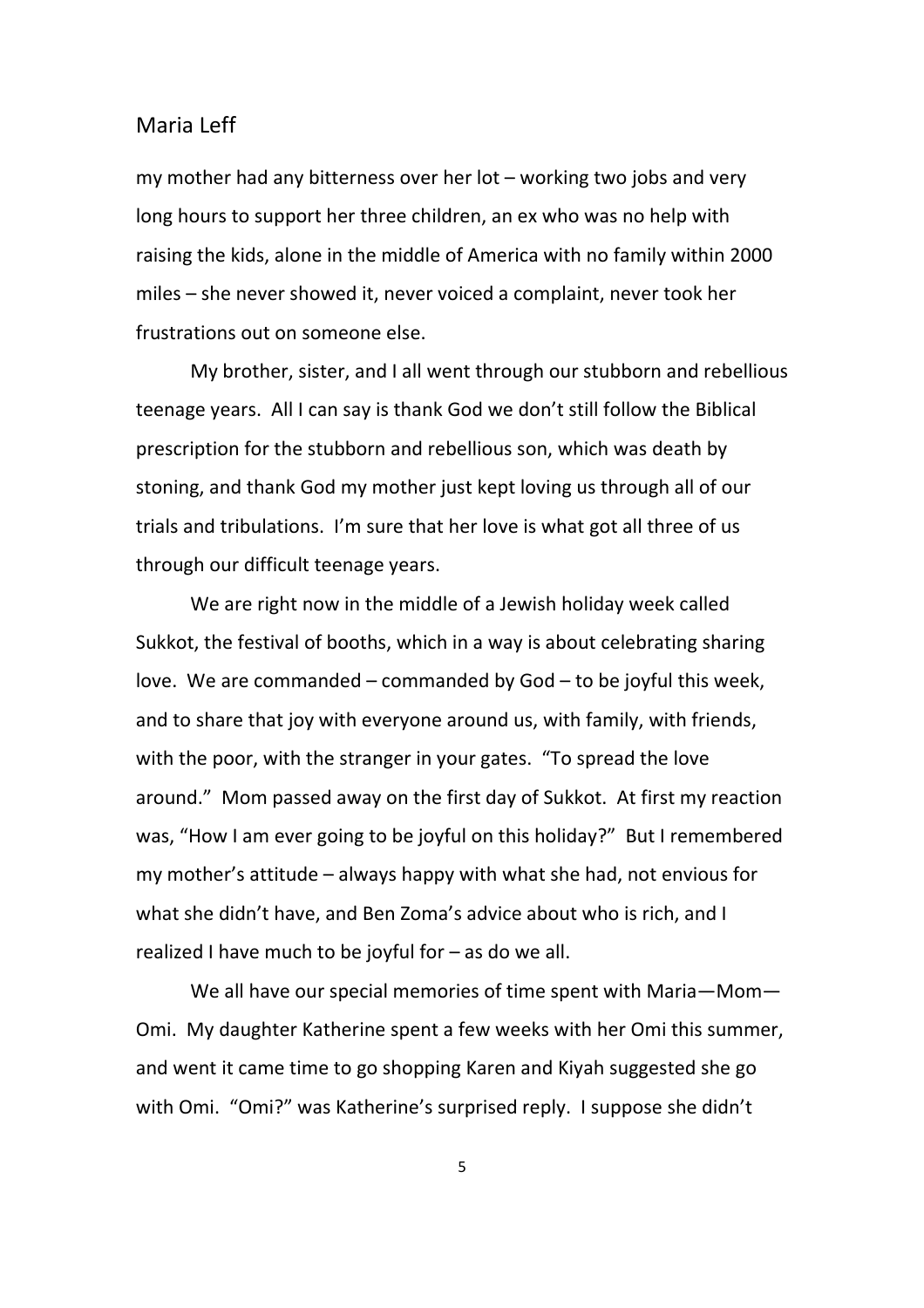my mother had any bitterness over her lot – working two jobs and very long hours to support her three children, an ex who was no help with raising the kids, alone in the middle of America with no family within 2000 miles – she never showed it, never voiced a complaint, never took her frustrations out on someone else.

My brother, sister, and I all went through our stubborn and rebellious teenage years. All I can say is thank God we don't still follow the Biblical prescription for the stubborn and rebellious son, which was death by stoning, and thank God my mother just kept loving us through all of our trials and tribulations. I'm sure that her love is what got all three of us through our difficult teenage years.

We are right now in the middle of a Jewish holiday week called Sukkot, the festival of booths, which in a way is about celebrating sharing love. We are commanded – commanded by God – to be joyful this week, and to share that joy with everyone around us, with family, with friends, with the poor, with the stranger in your gates. "To spread the love around." Mom passed away on the first day of Sukkot. At first my reaction was, "How I am ever going to be joyful on this holiday?" But I remembered my mother's attitude – always happy with what she had, not envious for what she didn't have, and Ben Zoma's advice about who is rich, and I realized I have much to be joyful for – as do we all.

We all have our special memories of time spent with Maria—Mom— Omi. My daughter Katherine spent a few weeks with her Omi this summer, and went it came time to go shopping Karen and Kiyah suggested she go with Omi. "Omi?" was Katherine's surprised reply. I suppose she didn't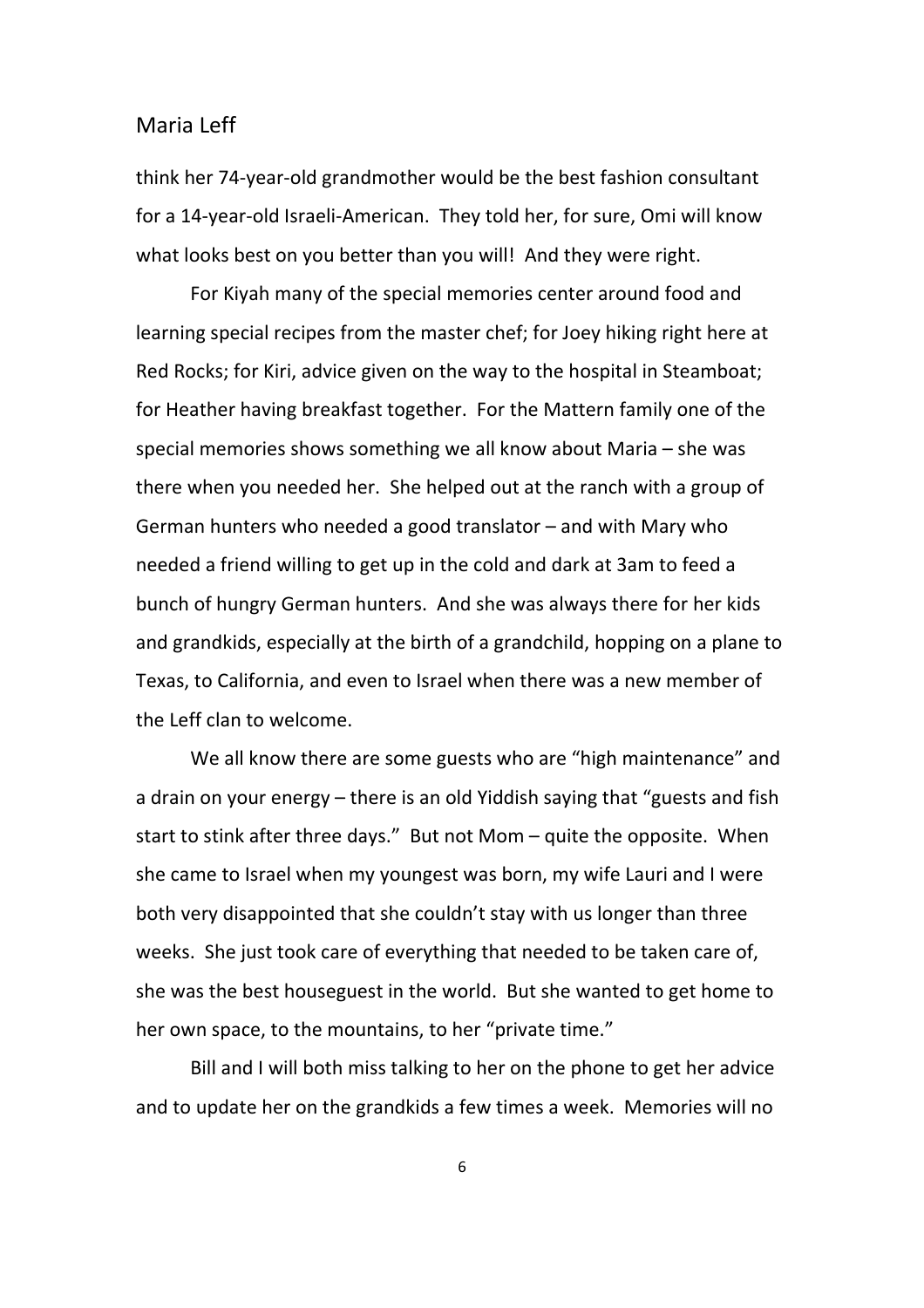think her 74-year-old grandmother would be the best fashion consultant for a 14-year-old Israeli-American. They told her, for sure, Omi will know what looks best on you better than you will! And they were right.

For Kiyah many of the special memories center around food and learning special recipes from the master chef; for Joey hiking right here at Red Rocks; for Kiri, advice given on the way to the hospital in Steamboat; for Heather having breakfast together. For the Mattern family one of the special memories shows something we all know about Maria – she was there when you needed her. She helped out at the ranch with a group of German hunters who needed a good translator – and with Mary who needed a friend willing to get up in the cold and dark at 3am to feed a bunch of hungry German hunters. And she was always there for her kids and grandkids, especially at the birth of a grandchild, hopping on a plane to Texas, to California, and even to Israel when there was a new member of the Leff clan to welcome.

We all know there are some guests who are "high maintenance" and a drain on your energy – there is an old Yiddish saying that "guests and fish start to stink after three days." But not Mom – quite the opposite. When she came to Israel when my youngest was born, my wife Lauri and I were both very disappointed that she couldn't stay with us longer than three weeks. She just took care of everything that needed to be taken care of, she was the best houseguest in the world. But she wanted to get home to her own space, to the mountains, to her "private time."

Bill and I will both miss talking to her on the phone to get her advice and to update her on the grandkids a few times a week. Memories will no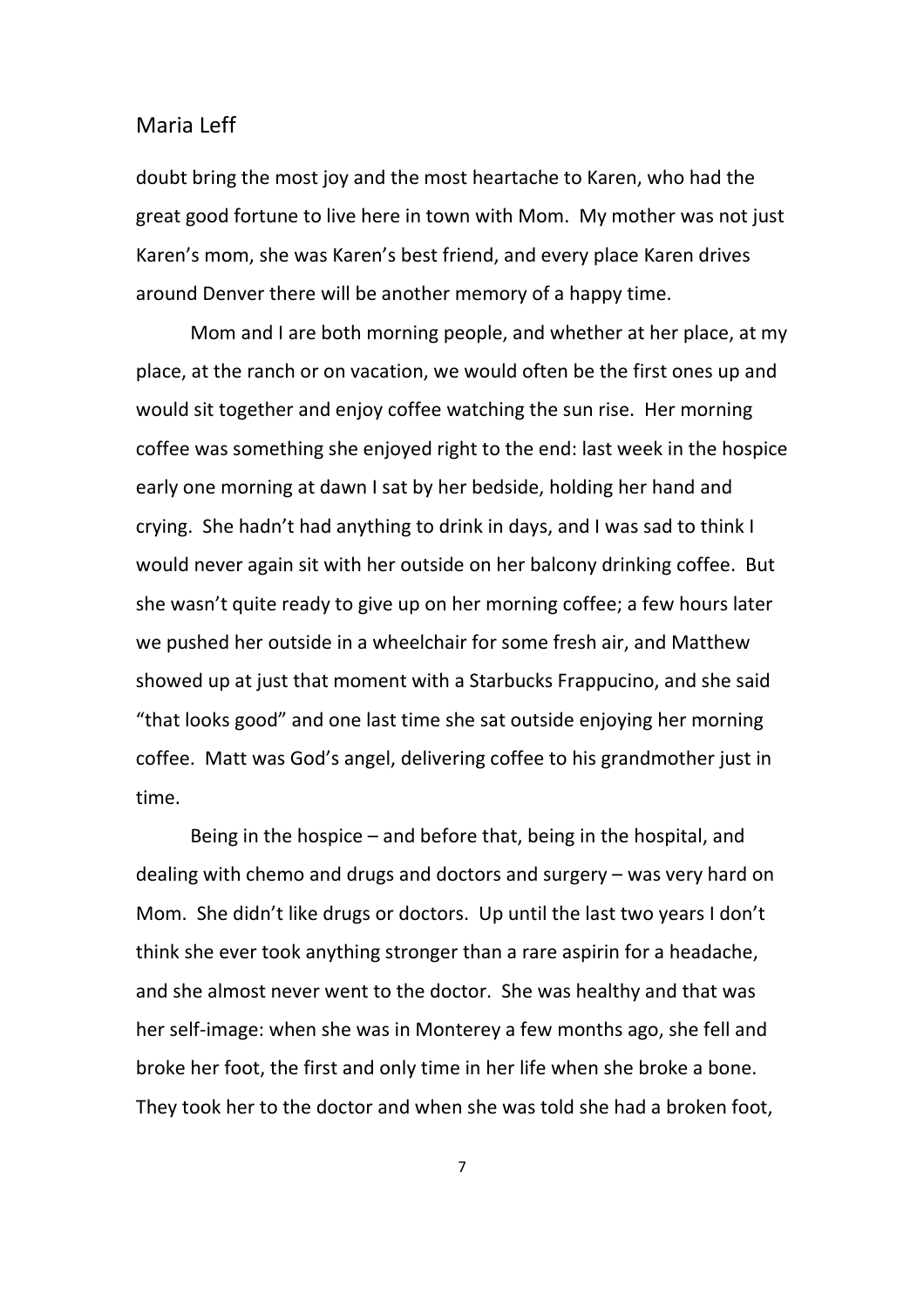doubt bring the most joy and the most heartache to Karen, who had the great good fortune to live here in town with Mom. My mother was not just Karen's mom, she was Karen's best friend, and every place Karen drives around Denver there will be another memory of a happy time.

Mom and I are both morning people, and whether at her place, at my place, at the ranch or on vacation, we would often be the first ones up and would sit together and enjoy coffee watching the sun rise. Her morning coffee was something she enjoyed right to the end: last week in the hospice early one morning at dawn I sat by her bedside, holding her hand and crying. She hadn't had anything to drink in days, and I was sad to think I would never again sit with her outside on her balcony drinking coffee. But she wasn't quite ready to give up on her morning coffee; a few hours later we pushed her outside in a wheelchair for some fresh air, and Matthew showed up at just that moment with a Starbucks Frappucino, and she said "that looks good" and one last time she sat outside enjoying her morning coffee. Matt was God's angel, delivering coffee to his grandmother just in time.

Being in the hospice – and before that, being in the hospital, and dealing with chemo and drugs and doctors and surgery – was very hard on Mom. She didn't like drugs or doctors. Up until the last two years I don't think she ever took anything stronger than a rare aspirin for a headache, and she almost never went to the doctor. She was healthy and that was her self-image: when she was in Monterey a few months ago, she fell and broke her foot, the first and only time in her life when she broke a bone. They took her to the doctor and when she was told she had a broken foot,